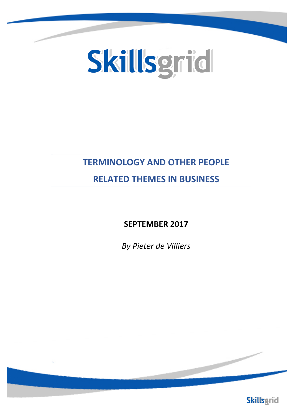

# **TERMINOLOGY AND OTHER PEOPLE**

# **RELATED THEMES IN BUSINESS**

**SEPTEMBER 2017**

*By Pieter de Villiers*

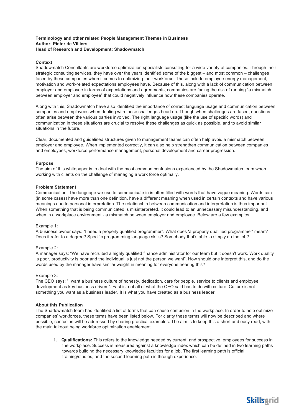## **Terminology and other related People Management Themes in Business Author: Pieter de Villiers Head of Research and Development: Shadowmatch**

## **Context**

Shadowmatch Consultants are workforce optimization specialists consulting for a wide variety of companies. Through their strategic consulting services, they have over the years identified some of the biggest – and most common – challenges faced by these companies when it comes to optimizing their workforce. These include employee energy management, motivation and work-related expectations employees have. Because of this, along with a lack of communication between employer and employee in terms of expectations and agreements, companies are facing the risk of running "a mismatch between employer and employee" that could negatively influence how these companies operate.

Along with this, Shadowmatch have also identified the importance of correct language usage and communication between companies and employees when dealing with these challenges head on. Though when challenges are faced, questions often arise between the various parties involved. The right language usage (like the use of specific words) and communication in these situations are crucial to resolve these challenges as quick as possible, and to avoid similar situations in the future.

Clear, documented and guidelined structures given to management teams can often help avoid a mismatch between employer and employee. When implemented correctly, it can also help strengthen communication between companies and employees, workforce performance management, personal development and career progression.

### **Purpose**

The aim of this whitepaper is to deal with the most common confusions experienced by the Shadowmatch team when working with clients on the challenge of managing a work force optimally.

### **Problem Statement**

Communication. The language we use to communicate in is often filled with words that have vague meaning. Words can (in some cases) have more than one definition, have a different meaning when used in certain contexts and have various meanings due to personal interpretation. The relationship between communication and interpretation is thus important. When something that is being communicated is misinterpreted, it could lead to an unnecessary misunderstanding, and when in a workplace environment - a mismatch between employer and employee. Below are a few examples.

#### Example 1:

A business owner says: "I need a properly qualified programmer". What does 'a properly qualified programmer' mean? Does it refer to a degree? Specific programming language skills? Somebody that's able to simply do the job?

### Example 2:

A manager says: "We have recruited a highly qualified finance administrator for our team but it doesn't work. Work quality is poor, productivity is poor and the individual is just not the person we want". How should one interpret this, and do the words used by the manager have similar weight in meaning for everyone hearing this?

#### Example 3:

The CEO says: "I want a business culture of honesty, dedication, care for people, service to clients and employee development as key business drivers". Fact is, not all of what the CEO said has to do with culture. Culture is not something you want as a business leader. It is what you have created as a business leader.

## **About this Publication**

The Shadowmatch team has identified a list of terms that can cause confusion in the workplace. In order to help optimize companies' workforces, these terms have been listed below. For clarity these terms will now be described and where possible, confusion will be addressed by sharing practical examples. The aim is to keep this a short and easy read, with the main takeout being workforce optimization enablement.

**1. Qualifications:** This refers to the knowledge needed by current, and prospective, employees for success in the workplace. Success is measured against a knowledge index which can be defined in two learning paths towards building the necessary knowledge faculties for a job. The first learning path is official training/studies, and the second learning path is through experience.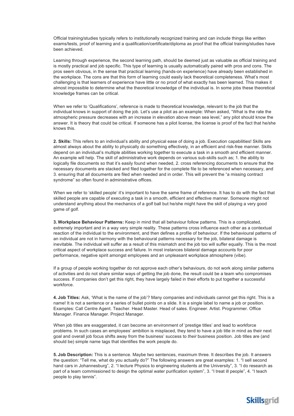Official training/studies typically refers to institutionally recognized training and can include things like written exams/tests, proof of learning and a qualification/certificate/diploma as proof that the official training/studies have been achieved.

Learning through experience, the second learning path, should be deemed just as valuable as official training and is mostly practical and job specific. This type of learning is usually automatically paired with pros and cons. The pros seem obvious, in the sense that practical learning (hands-on experience) have already been established in the workplace. The cons are that this form of learning could easily lack theoretical completeness. What's most challenging is that learners of experience have little or no proof of what exactly has been learned. This makes it almost impossible to determine what the theoretical knowledge of the individual is. In some jobs these theoretical knowledge frames can be critical.

When we refer to 'Qualifications', reference is made to theoretical knowledge, relevant to the job that the individual knows in support of doing the job. Let's use a pilot as an example: When asked, "What is the rate the atmospheric pressure decreases with an increase in elevation above mean sea level," any pilot should know the answer. It is theory that could be critical. If someone has a pilot license, the license is proof of the fact that he/she knows this.

**2. Skills:** This refers to an individual's ability and physical ease of doing a job. Execution capabilities! Skills are almost always about the ability to physically do something effectively, in an efficient and risk-free manner. Skills depend on an individual's multiple abilities working together to execute a task in a smooth and efficient manner. An example will help. The skill of administrative work depends on various sub-skills such as; 1. the ability to logically file documents so that it's easily found when needed, 2. cross referencing documents to ensure that the necessary documents are stacked and filed together for the complete file to be referenced when necessary, and 3. ensuring that all documents are filed when needed and in order. This will prevent the "a missing contract syndrome" so often found in administrative offices.

When we refer to 'skilled people' it's important to have the same frame of reference. It has to do with the fact that skilled people are capable of executing a task in a smooth, efficient and effective manner. Someone might not understand anything about the mechanics of a golf ball but he/she might have the skill of playing a very good game of golf.

**3. Workplace Behaviour Patterns:** Keep in mind that all behaviour follow patterns. This is a complicated, extremely important and in a way very simple reality. These patterns cross influence each other as a contextual reaction of the individual to the environment, and then defines a profile of behaviour. If the behavioural patterns of an individual are not in harmony with the behavioural patterns necessary for the job, bilateral damage is inevitable. The individual will suffer as a result of this mismatch and the job too will suffer equally. This is the most critical aspect of workplace success and failure. In most instances bilateral damage accounts for poor performance, negative spirit amongst employees and an unpleasant workplace atmosphere (vibe).

If a group of people working together do not approve each other's behaviours, do not work along similar patterns of activities and do not share similar ways of getting the job done, the result could be a team who compromises success. If companies don't get this right, they have largely failed in their efforts to put together a successful workforce.

**4. Job Titles:** Ask, 'What is the name of the job'? Many companies and individuals cannot get this right. This is a name! It is not a sentence or a series of bullet points on a slide. It is a single label to name a job or position. Examples: Call Centre Agent. Teacher. Head Master. Head of sales. Engineer. Artist. Programmer. Office Manager. Finance Manager. Project Manager.

When job titles are exaggerated, it can become an environment of 'prestige titles' and lead to workforce problems. In such cases an employees' ambition is misplaced, they tend to have a job title in mind as their next goal and overall job focus shifts away from the business' success to *their* business position. Job titles are (and should be) simple name tags that identifies the work people do.

**5. Job Description:** This is a sentence. Maybe two sentences, maximum three. It describes the job. It answers the question: "Tell me, what do you actually do?" The following answers are great examples: 1. "I sell second hand cars in Johannesburg", 2. "I lecture Physics to engineering students at the University", 3. "I do research as part of a team commissioned to design the optimal water purification system", 3. "I treat ill people", 4. "I teach people to play tennis".

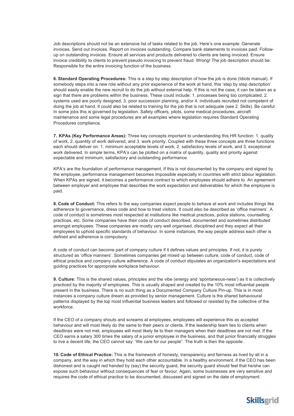Job descriptions should not be an extensive list of tasks related to the job. Here's one example: Generate invoices. Send out invoices. Report on invoices outstanding. Compare bank statements to invoices paid. Followup on outstanding invoices. Ensure all services and products delivered to clients are being invoiced. Ensure invoice credibility to clients to prevent pseudo invoicing to prevent fraud. Wrong! The job description should be: Responsible for the entire invoicing function of the business.

**6. Standard Operating Procedures:** This is a step by step description of how the job is done (Idiots manual). If somebody steps into a new role without any prior experience of the work at hand, this 'step by step description' should easily enable the new recruit to do the job without external help. If this is not the case, it can be taken as a sign that there are problems within the business. These could include: 1. processes being too complicated, 2. systems used are poorly designed, 3. poor succession planning, and/or 4. individuals recruited not competent of doing the job at hand. It could also be related to training for the job that is not adequate (see 2. Skills). Be careful: In some jobs this is governed by legislation. Safety officers, pilots, some medical procedures, aircraft maintenance and some legal procedures are all examples where legislation requires Standard Operating Procedures compliance.

**7. KPAs (Key Performance Areas):** Three key concepts important to understanding this HR function: 1. quality of work, 2. quantity of work delivered, and 3. work priority. Coupled with these three concepts are three functions each should deliver on: 1. minimum acceptable levels of work, 2. satisfactory levels of work, and 3. exceptional work delivered. In simple terms, KPA's can be plotted on a matrix of quantity, quality and priority against expectable and minimum, satisfactory and outstanding performance.

KPA's are the foundation of performance management. If this is not documented by the company and signed by the employee, performance management becomes impossible especially in countries with strict labour legislation. When KPAs are signed, it becomes a performance contract to which employees should adhere to. An agreement between employer and employee that describes the work expectation and deliverables for which the employee is paid.

**8. Code of Conduct:** This refers to the way companies expect people to behave at work and includes things like adherence to governance, dress code and how to treat visitors. It could also be described as 'office manners'. A code of conduct is sometimes most respected at institutions like medical practices, police stations, counselling practices, etc. Some companies have their code of conduct described, documented and sometimes distributed amongst employees. These companies are mostly very well organised, disciplined and they expect all their employees to uphold specific standards of behaviour. In some instances, the way people address each other is defined and adherence is compulsory.

A code of conduct can become part of company culture if it defines values and principles. If not, it is purely structured as 'office manners'. Sometimes companies get mixed up between culture, code of conduct, code of ethical practice and company culture adherence. A code of conduct stipulates an organization's expectations and guiding practices for appropriate workplace behaviour.

**9. Culture:** This is the shared values, principles and the vibe (energy and 'spontaneous-ness') as it is collectively practiced by the majority of employees. This is usually shaped and created by the 10% most influential people present in the business. There is no such thing as a Documented Company Culture Pin-up. This is in most instances a company culture dream as provided by senior management. Culture is the shared behavioural patterns displayed by the top most influential business leaders and followed or resisted by the collective of the workforce.

If the CEO of a company shouts and screams at employees, employees will experience this as accepted behaviour and will most likely do the same to their peers or clients. If the leadership team lies to clients when deadlines were not met, employees will most likely lie to their managers when their deadlines are not met. If the CEO earns a salary 300 times the salary of a junior employee in the business, and that junior financially struggles to live a decent life, the CEO cannot say: 'We care for our people". The truth is then the opposite.

**10. Code of Ethical Practice:** This is the framework of honesty, transparency and fairness as lived by all in a company, and the way in which they hold each other accountable. In a healthy environment, if the CEO has been dishonest and is caught red handed by (say) the security guard, the security guard should feel that he/she can expose such behaviour without consequences of fear or favour. Again, some businesses are very sensitive and requires the code of ethical practice to be documented, discussed and signed on the date of employment.

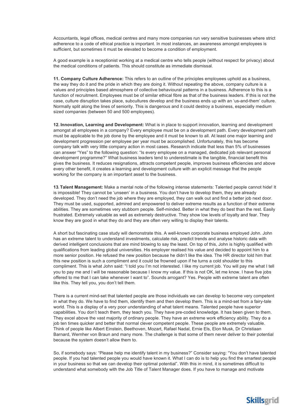Accountants, legal offices, medical centres and many more companies run very sensitive businesses where strict adherence to a code of ethical practice is important. In most instances, an awareness amongst employees is sufficient, but sometimes it must be elevated to become a condition of employment.

A good example is a receptionist working at a medical centre who tells people (without respect for privacy) about the medical conditions of patients. This should constitute as immediate dismissal.

**11. Company Culture Adherence:** This refers to an outline of the principles employees uphold as a business, the way they do it and the pride in which they are doing it. Without repeating the above, company culture is a values and principles based atmosphere of collective behavioural patterns in a business. Adherence to this is a function of recruitment. Employees must be of similar ethical fibre as that of the business leaders. If this is not the case, culture disruption takes place, subcultures develop and the business ends up with an 'us-and-them' culture. Normally split along the lines of seniority. This is dangerous and it could destroy a business, especially medium sized companies (between 50 and 500 employees).

**12. Innovation, Learning and Development:** What is in place to support innovation, learning and development amongst all employees in a company? Every employee must be on a development path. Every development path must be applicable to the job done by the employee and it must be known to all. At least one major learning and development progression per employee per year must be accomplished. Unfortunately, this has become company talk with very little company action in most cases. Research indicate that less than 5% of businesses can answer "Yes" to the following question: "Is every employee on a managed, dedicated job relevant personal development programme?" What business leaders tend to underestimate is the tangible, financial benefit this gives the business. It reduces resignations, attracts competent people, improves business efficiencies and above every other benefit, it creates a learning and development culture with an explicit message that the people working for the company is an important asset to the business.

**13. Talent Management:** Make a mental note of the following intense statements: Talented people cannot hide! It is impossible! They cannot be 'unseen' in a business. You don't have to develop them, they are already developed. They don't need the job where they are employed, they can walk out and find a better job next door. They must be used, supported, admired and empowered to deliver extreme results as a function of their extreme abilities. They are sometimes very stubborn people. Self-minded. Better in what they do best than the rest. Easily frustrated. Extremely valuable as well as extremely destructive. They show low levels of loyalty and fear. They know they are good in what they do and they are often very willing to display their talents.

A short but fascinating case study will demonstrate this. A well-known corporate business employed John. John has an extreme talent to understand investments, calculate risk, predict trends and analyse historic data with derived intelligent conclusions that are mind blowing to say the least. On top of this, John is highly qualified with qualifications from leading global universities. His employer realised his value and decided to appoint him to a more senior position. He refused the new position because he didn't like the idea. The HR director told him that this new position is such a compliment and it could be frowned upon if he turns a cold shoulder to this compliment. This is what John said: "I told you I'm not interested. I like my current job. You will pay me what I tell you to pay me and I will be reasonable because I know my value. If this is not OK, let me know. I have five jobs offered to me that I can take whenever I want to". Sounds arrogant? Yes. People with extreme talent are often like this. They tell you, you don't tell them.

There is a current mind-set that talented people are those individuals we can develop to become very competent in what they do. We have to find them, identify them and then develop them. This is a mind-set from a fairy-tale world. This is a display of a very poor understanding of what talent means. Talented people have superior capabilities. You don't teach them, they teach you. They have pre-coded knowledge. It has been given to them. They excel above the vast majority of ordinary people. They have an extreme work efficiency ability. They do a job ten times quicker and better that normal clever competent people. These people are extremely valuable. Think of people like Albert Einstein, Beethoven, Mozart, Rafael Nadal, Ernie Els, Elon Musk, Dr Christiaan Barnard, Wernher von Braun and many more. The challenge is that some of them never deliver to their potential because the system doesn't allow them to.

So, if somebody says: "Please help me identify talent in my business?" Consider saying: "You don't have talented people. If you had talented people you would have known it. What I can do is to help you find the smartest people in your business so that we can develop their optimal potential". With this in mind, it is sometimes difficult to understand what somebody with the Job Title of Talent Manager does. If you have to manage and motivate